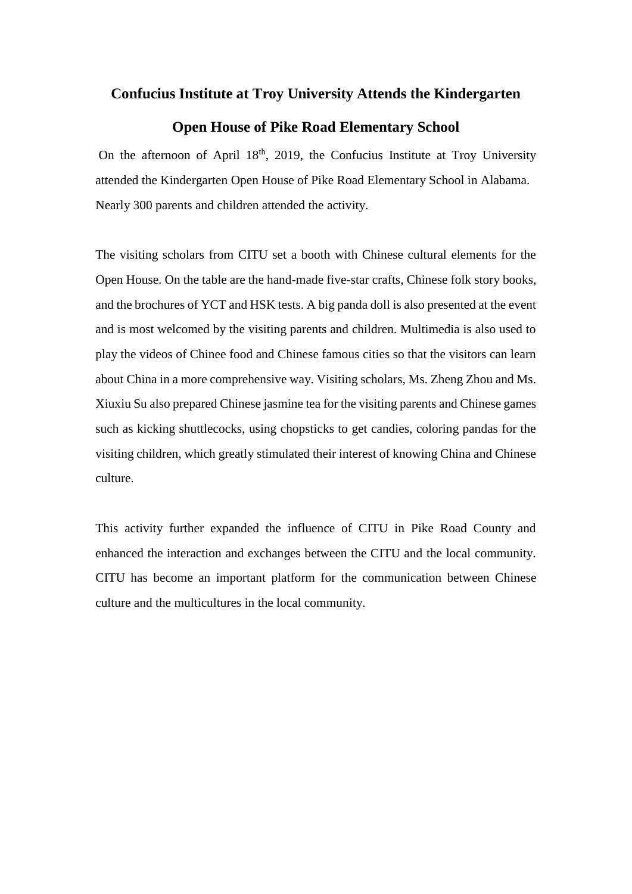## **Confucius Institute at Troy University Attends the Kindergarten**

## **Open House of Pike Road Elementary School**

On the afternoon of April  $18<sup>th</sup>$ , 2019, the Confucius Institute at Troy University attended the Kindergarten Open House of Pike Road Elementary School in Alabama. Nearly 300 parents and children attended the activity.

The visiting scholars from CITU set a booth with Chinese cultural elements for the Open House. On the table are the hand-made five-star crafts, Chinese folk story books, and the brochures of YCT and HSK tests. A big panda doll is also presented at the event and is most welcomed by the visiting parents and children. Multimedia is also used to play the videos of Chinee food and Chinese famous cities so that the visitors can learn about China in a more comprehensive way. Visiting scholars, Ms. Zheng Zhou and Ms. Xiuxiu Su also prepared Chinese jasmine tea for the visiting parents and Chinese games such as kicking shuttlecocks, using chopsticks to get candies, coloring pandas for the visiting children, which greatly stimulated their interest of knowing China and Chinese culture.

This activity further expanded the influence of CITU in Pike Road County and enhanced the interaction and exchanges between the CITU and the local community. CITU has become an important platform for the communication between Chinese culture and the multicultures in the local community.